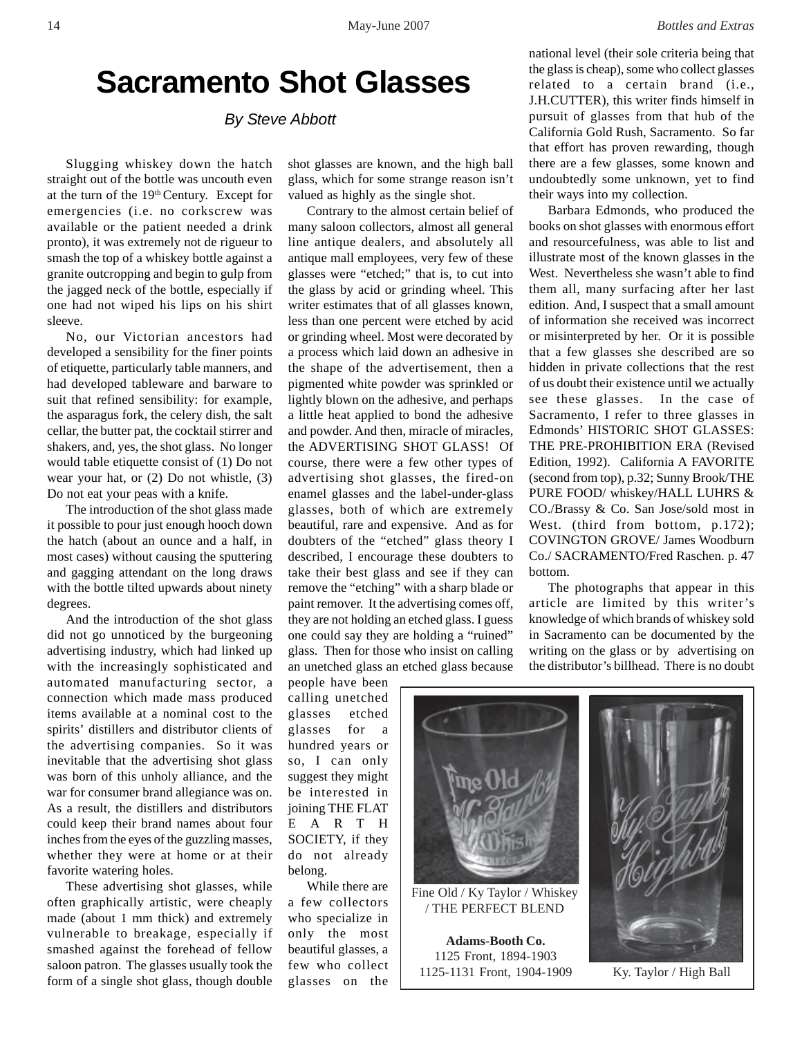## **Sacramento Shot Glasses**

*By Steve Abbott*

Slugging whiskey down the hatch straight out of the bottle was uncouth even at the turn of the 19th Century. Except for emergencies (i.e. no corkscrew was available or the patient needed a drink pronto), it was extremely not de rigueur to smash the top of a whiskey bottle against a granite outcropping and begin to gulp from the jagged neck of the bottle, especially if one had not wiped his lips on his shirt sleeve.

No, our Victorian ancestors had developed a sensibility for the finer points of etiquette, particularly table manners, and had developed tableware and barware to suit that refined sensibility: for example, the asparagus fork, the celery dish, the salt cellar, the butter pat, the cocktail stirrer and shakers, and, yes, the shot glass. No longer would table etiquette consist of (1) Do not wear your hat, or (2) Do not whistle, (3) Do not eat your peas with a knife.

The introduction of the shot glass made it possible to pour just enough hooch down the hatch (about an ounce and a half, in most cases) without causing the sputtering and gagging attendant on the long draws with the bottle tilted upwards about ninety degrees.

And the introduction of the shot glass did not go unnoticed by the burgeoning advertising industry, which had linked up with the increasingly sophisticated and automated manufacturing sector, a connection which made mass produced items available at a nominal cost to the spirits' distillers and distributor clients of the advertising companies. So it was inevitable that the advertising shot glass was born of this unholy alliance, and the war for consumer brand allegiance was on. As a result, the distillers and distributors could keep their brand names about four inches from the eyes of the guzzling masses, whether they were at home or at their favorite watering holes.

These advertising shot glasses, while often graphically artistic, were cheaply made (about 1 mm thick) and extremely vulnerable to breakage, especially if smashed against the forehead of fellow saloon patron. The glasses usually took the form of a single shot glass, though double

shot glasses are known, and the high ball glass, which for some strange reason isn't valued as highly as the single shot.

Contrary to the almost certain belief of many saloon collectors, almost all general line antique dealers, and absolutely all antique mall employees, very few of these glasses were "etched;" that is, to cut into the glass by acid or grinding wheel. This writer estimates that of all glasses known, less than one percent were etched by acid or grinding wheel. Most were decorated by a process which laid down an adhesive in the shape of the advertisement, then a pigmented white powder was sprinkled or lightly blown on the adhesive, and perhaps a little heat applied to bond the adhesive and powder. And then, miracle of miracles, the ADVERTISING SHOT GLASS! Of course, there were a few other types of advertising shot glasses, the fired-on enamel glasses and the label-under-glass glasses, both of which are extremely beautiful, rare and expensive. And as for doubters of the "etched" glass theory I described, I encourage these doubters to take their best glass and see if they can remove the "etching" with a sharp blade or paint remover. It the advertising comes off, they are not holding an etched glass. I guess one could say they are holding a "ruined" glass. Then for those who insist on calling an unetched glass an etched glass because

people have been calling unetched glasses etched glasses for a hundred years or so, I can only suggest they might be interested in joining THE FLAT EARTH SOCIETY, if they do not already belong.

While there are a few collectors who specialize in only the most beautiful glasses, a few who collect glasses on the national level (their sole criteria being that the glass is cheap), some who collect glasses related to a certain brand (i.e., J.H.CUTTER), this writer finds himself in pursuit of glasses from that hub of the California Gold Rush, Sacramento. So far that effort has proven rewarding, though there are a few glasses, some known and undoubtedly some unknown, yet to find their ways into my collection.

Barbara Edmonds, who produced the books on shot glasses with enormous effort and resourcefulness, was able to list and illustrate most of the known glasses in the West. Nevertheless she wasn't able to find them all, many surfacing after her last edition. And, I suspect that a small amount of information she received was incorrect or misinterpreted by her. Or it is possible that a few glasses she described are so hidden in private collections that the rest of us doubt their existence until we actually see these glasses. In the case of Sacramento, I refer to three glasses in Edmonds' HISTORIC SHOT GLASSES: THE PRE-PROHIBITION ERA (Revised Edition, 1992). California A FAVORITE (second from top), p.32; Sunny Brook/THE PURE FOOD/ whiskey/HALL LUHRS & CO./Brassy & Co. San Jose/sold most in West. (third from bottom, p.172); COVINGTON GROVE/ James Woodburn Co./ SACRAMENTO/Fred Raschen. p. 47 bottom.

The photographs that appear in this article are limited by this writer's knowledge of which brands of whiskey sold in Sacramento can be documented by the writing on the glass or by advertising on the distributor's billhead. There is no doubt



Ky. Taylor / High Ball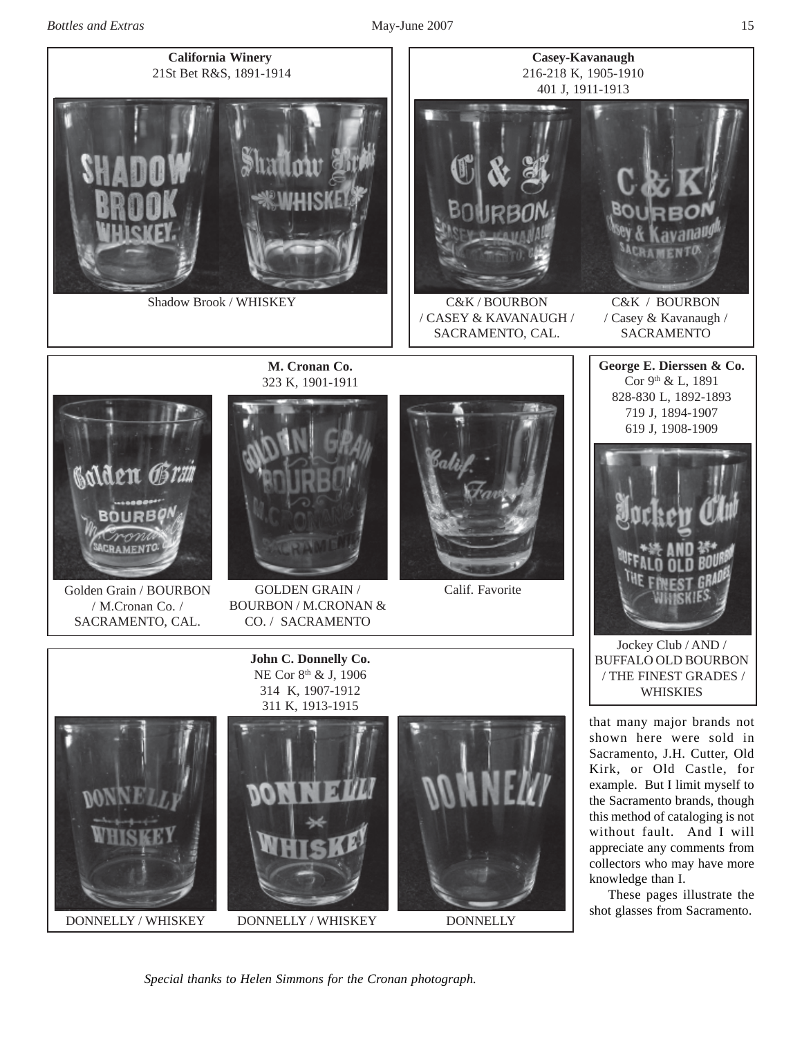



*Special thanks to Helen Simmons for the Cronan photograph.*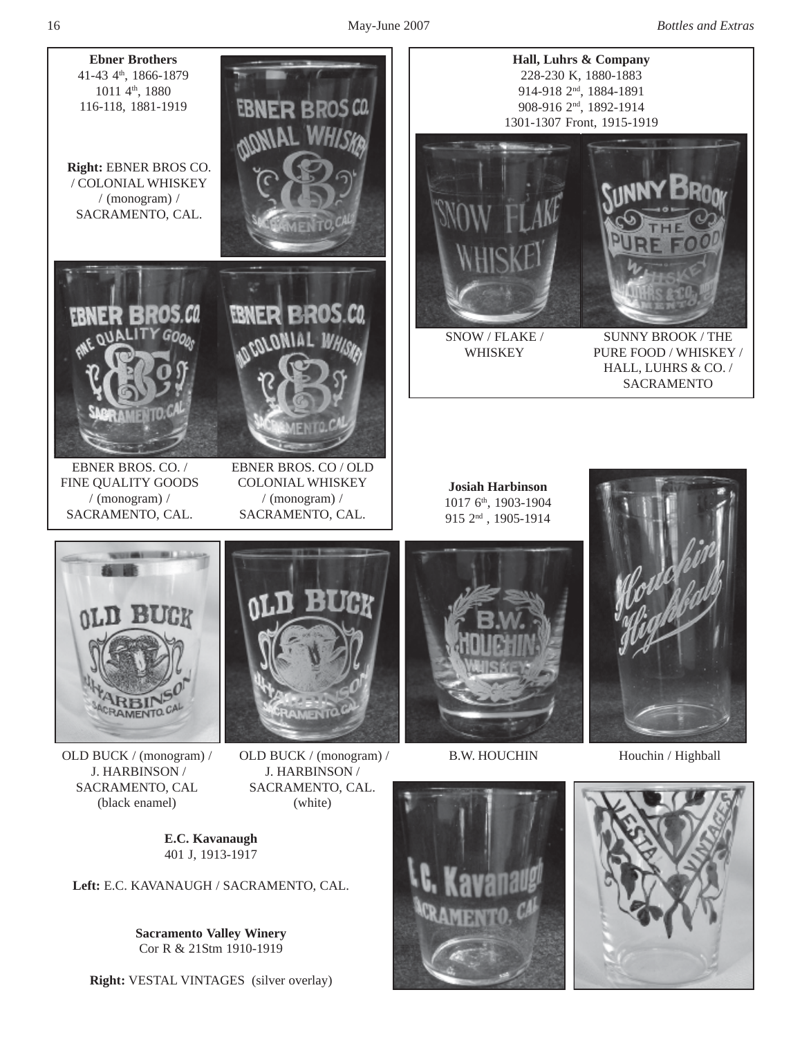16 May-June 2007 *Bottles and Extras*



Cor R & 21Stm 1910-1919

**Right:** VESTAL VINTAGES (silver overlay)